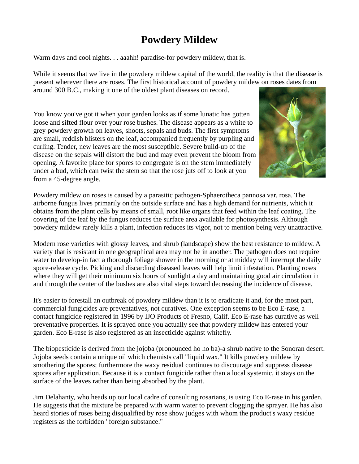## **Powdery Mildew**

Warm days and cool nights. . . aaahh! paradise-for powdery mildew, that is.

While it seems that we live in the powdery mildew capital of the world, the reality is that the disease is present wherever there are roses. The first historical account of powdery mildew on roses dates from around 300 B.C., making it one of the oldest plant diseases on record.

You know you've got it when your garden looks as if some lunatic has gotten loose and sifted flour over your rose bushes. The disease appears as a white to grey powdery growth on leaves, shoots, sepals and buds. The first symptoms are small, reddish blisters on the leaf, accompanied frequently by purpling and curling. Tender, new leaves are the most susceptible. Severe build-up of the disease on the sepals will distort the bud and may even prevent the bloom from opening. A favorite place for spores to congregate is on the stem immediately under a bud, which can twist the stem so that the rose juts off to look at you from a 45-degree angle.



Powdery mildew on roses is caused by a parasitic pathogen-Sphaerotheca pannosa var. rosa. The airborne fungus lives primarily on the outside surface and has a high demand for nutrients, which it obtains from the plant cells by means of small, root like organs that feed within the leaf coating. The covering of the leaf by the fungus reduces the surface area available for photosynthesis. Although powdery mildew rarely kills a plant, infection reduces its vigor, not to mention being very unattractive.

Modern rose varieties with glossy leaves, and shrub (landscape) show the best resistance to mildew. A variety that is resistant in one geographical area may not be in another. The pathogen does not require water to develop-in fact a thorough foliage shower in the morning or at midday will interrupt the daily spore-release cycle. Picking and discarding diseased leaves will help limit infestation. Planting roses where they will get their minimum six hours of sunlight a day and maintaining good air circulation in and through the center of the bushes are also vital steps toward decreasing the incidence of disease.

It's easier to forestall an outbreak of powdery mildew than it is to eradicate it and, for the most part, commercial fungicides are preventatives, not curatives. One exception seems to be Eco E-rase, a contact fungicide registered in 1996 by IJO Products of Fresno, Calif. Eco E-rase has curative as well preventative properties. It is sprayed once you actually see that powdery mildew has entered your garden. Eco E-rase is also registered as an insecticide against whitefly.

The biopesticide is derived from the jojoba (pronounced ho ho ba)-a shrub native to the Sonoran desert. Jojoba seeds contain a unique oil which chemists call "liquid wax." It kills powdery mildew by smothering the spores; furthermore the waxy residual continues to discourage and suppress disease spores after application. Because it is a contact fungicide rather than a local systemic, it stays on the surface of the leaves rather than being absorbed by the plant.

Jim Delahanty, who heads up our local cadre of consulting rosarians, is using Eco E-rase in his garden. He suggests that the mixture be prepared with warm water to prevent clogging the sprayer. He has also heard stories of roses being disqualified by rose show judges with whom the product's waxy residue registers as the forbidden "foreign substance."